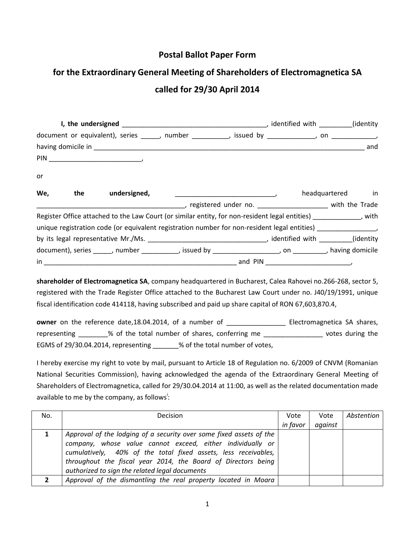## **Postal Ballot Paper Form**

## **for the Extraordinary General Meeting of Shareholders of Electromagnetica SA called for 29/30 April 2014**

| document or equivalent), series _____, number _________, issued by __________, on ___________ |  |                                                                                                                                                                                                                                                                                                                                                                         |                                                                                                           |  |  |                  |  |  |
|-----------------------------------------------------------------------------------------------|--|-------------------------------------------------------------------------------------------------------------------------------------------------------------------------------------------------------------------------------------------------------------------------------------------------------------------------------------------------------------------------|-----------------------------------------------------------------------------------------------------------|--|--|------------------|--|--|
|                                                                                               |  |                                                                                                                                                                                                                                                                                                                                                                         |                                                                                                           |  |  |                  |  |  |
|                                                                                               |  | $\begin{picture}(180,10) \put(0,0){\dashbox{0.5}(10,0){ }} \put(10,0){\dashbox{0.5}(10,0){ }} \put(10,0){\dashbox{0.5}(10,0){ }} \put(10,0){\dashbox{0.5}(10,0){ }} \put(10,0){\dashbox{0.5}(10,0){ }} \put(10,0){\dashbox{0.5}(10,0){ }} \put(10,0){\dashbox{0.5}(10,0){ }} \put(10,0){\dashbox{0.5}(10,0){ }} \put(10,0){\dashbox{0.5}(10,0){ }} \put(10,0){\dashbox$ |                                                                                                           |  |  |                  |  |  |
| or                                                                                            |  |                                                                                                                                                                                                                                                                                                                                                                         |                                                                                                           |  |  |                  |  |  |
| We,                                                                                           |  | the undersigned,                                                                                                                                                                                                                                                                                                                                                        | $\overline{\phantom{a}}$                                                                                  |  |  | headquartered in |  |  |
|                                                                                               |  |                                                                                                                                                                                                                                                                                                                                                                         | registered under no. The manufacturer with the Trade                                                      |  |  |                  |  |  |
|                                                                                               |  |                                                                                                                                                                                                                                                                                                                                                                         | Register Office attached to the Law Court (or similar entity, for non-resident legal entities) [189] Nuth |  |  |                  |  |  |
|                                                                                               |  |                                                                                                                                                                                                                                                                                                                                                                         | unique registration code (or equivalent registration number for non-resident legal entities)              |  |  |                  |  |  |
|                                                                                               |  |                                                                                                                                                                                                                                                                                                                                                                         |                                                                                                           |  |  |                  |  |  |
|                                                                                               |  |                                                                                                                                                                                                                                                                                                                                                                         | document), series _____, number __________, issued by __________________, on ________, having domicile    |  |  |                  |  |  |
|                                                                                               |  |                                                                                                                                                                                                                                                                                                                                                                         |                                                                                                           |  |  |                  |  |  |

**shareholder of Electromagnetica SA**, company headquartered in Bucharest, Calea Rahovei no.266-268, sector 5, registered with the Trade Register Office attached to the Bucharest Law Court under no. J40/19/1991, unique fiscal identification code 414118, having subscribed and paid up share capital of RON 67,603,870.4,

**owner** on the reference date,18.04.2014, of a number of \_\_\_\_\_\_\_\_\_\_\_\_\_\_\_\_ Electromagnetica SA shares, representing \_\_\_\_\_\_\_% of the total number of shares, conferring me \_\_\_\_\_\_\_\_\_\_\_\_\_\_\_\_\_\_\_ votes during the EGMS of 29/30.04.2014, representing \_\_\_\_\_\_% of the total number of votes,

I hereby exercise my right to vote by mail, pursuant to Article 18 of Regulation no. 6/2009 of CNVM (Romanian National Securities Commission), having acknowledged the agenda of the Extraordinary General Meeting of Shareholders of Electromagnetica, called for 29/30.04.2014 at 11:00, as well as the related documentation made available to me by the company, as follows<sup>i</sup>:

| No. | <b>Decision</b>                                                                                                                                                                                                                                                      | Vote     | Vote    | Abstention |
|-----|----------------------------------------------------------------------------------------------------------------------------------------------------------------------------------------------------------------------------------------------------------------------|----------|---------|------------|
|     |                                                                                                                                                                                                                                                                      | in favor | against |            |
|     | Approval of the lodging of a security over some fixed assets of the<br>company, whose value cannot exceed, either individually or<br>cumulatively, 40% of the total fixed assets, less receivables,<br>throughout the fiscal year 2014, the Board of Directors being |          |         |            |
|     | authorized to sign the related legal documents                                                                                                                                                                                                                       |          |         |            |
|     | Approval of the dismantling the real property located in Moara                                                                                                                                                                                                       |          |         |            |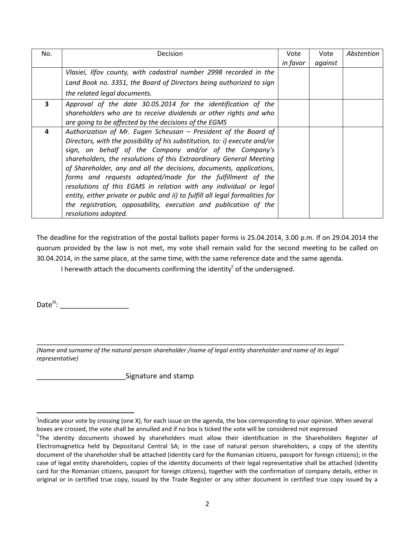| No. | Decision                                                                                                                                                                                                                                                                                                                                                                                                                                                                                                                                                                                                                                                              | Vote     | Vote    | Abstention |
|-----|-----------------------------------------------------------------------------------------------------------------------------------------------------------------------------------------------------------------------------------------------------------------------------------------------------------------------------------------------------------------------------------------------------------------------------------------------------------------------------------------------------------------------------------------------------------------------------------------------------------------------------------------------------------------------|----------|---------|------------|
|     |                                                                                                                                                                                                                                                                                                                                                                                                                                                                                                                                                                                                                                                                       | in favor | against |            |
|     | Vlasiei, Ilfov county, with cadastral number 2998 recorded in the                                                                                                                                                                                                                                                                                                                                                                                                                                                                                                                                                                                                     |          |         |            |
|     | Land Book no. 3351, the Board of Directors being authorized to sign                                                                                                                                                                                                                                                                                                                                                                                                                                                                                                                                                                                                   |          |         |            |
|     | the related legal documents.                                                                                                                                                                                                                                                                                                                                                                                                                                                                                                                                                                                                                                          |          |         |            |
| 3   | Approval of the date 30.05.2014 for the identification of the<br>shareholders who are to receive dividends or other rights and who<br>are going to be affected by the decisions of the EGMS                                                                                                                                                                                                                                                                                                                                                                                                                                                                           |          |         |            |
| 4   | Authorization of Mr. Eugen Scheusan - President of the Board of<br>Directors, with the possibility of his substitution, to: i) execute and/or<br>sign, on behalf of the Company and/or of the Company's<br>shareholders, the resolutions of this Extraordinary General Meeting<br>of Shareholder, any and all the decisions, documents, applications,<br>forms and requests adopted/made for the fulfillment of the<br>resolutions of this EGMS in relation with any individual or legal<br>entity, either private or public and ii) to fulfill all legal formalities for<br>the registration, opposability, execution and publication of the<br>resolutions adopted. |          |         |            |

The deadline for the registration of the postal ballots paper forms is 25.04.2014, 3.00 p.m. If on 29.04.2014 the quorum provided by the law is not met, my vote shall remain valid for the second meeting to be called on 30.04.2014, in the same place, at the same time, with the same reference date and the same agenda.

I herewith attach the documents confirming the identity<sup>ii</sup> of the undersigned.

Date<sup>iii</sup>: \_\_\_\_\_\_\_\_\_\_\_\_\_\_\_\_\_\_\_\_\_\_\_\_

 $\overline{a}$ 

\_\_\_\_\_\_\_\_\_\_\_\_\_\_\_\_\_\_\_\_\_\_\_\_\_\_\_\_\_\_\_\_\_\_\_\_\_\_\_\_\_\_\_\_\_\_\_\_\_\_\_\_\_\_\_\_\_\_\_\_\_\_\_\_\_\_\_\_\_\_\_\_\_\_\_\_ *(Name and surname of the natural person shareholder /name of legal entity shareholder and name of its legal representative)*

\_\_\_\_\_\_\_\_\_\_\_\_\_\_\_\_\_\_\_\_\_\_Signature and stamp

<sup>&</sup>lt;sup>i</sup>Indicate your vote by crossing (one X), for each issue on the agenda, the box corresponding to your opinion. When several boxes are crossed, the vote shall be annulled and if no box is ticked the vote will be considered not expressed

<sup>&</sup>lt;sup>"</sup>The identity documents showed by shareholders must allow their identification in the Shareholders Register of Electromagnetica held by Depozitarul Central SA; in the case of natural person shareholders, a copy of the identity document of the shareholder shall be attached (identity card for the Romanian citizens, passport for foreign citizens); in the case of legal entity shareholders, copies of the identity documents of their legal representative shall be attached (identity card for the Romanian citizens, passport for foreign citizens), together with the confirmation of company details, either in original or in certified true copy, issued by the Trade Register or any other document in certified true copy issued by a